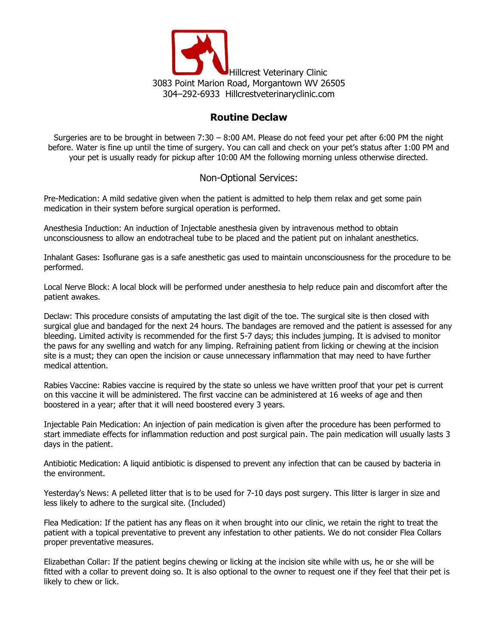

## **Routine Declaw**

Surgeries are to be brought in between 7:30 – 8:00 AM. Please do not feed your pet after 6:00 PM the night before. Water is fine up until the time of surgery. You can call and check on your pet's status after 1:00 PM and your pet is usually ready for pickup after 10:00 AM the following morning unless otherwise directed.

## Non-Optional Services:

Pre-Medication: A mild sedative given when the patient is admitted to help them relax and get some pain medication in their system before surgical operation is performed.

Anesthesia Induction: An induction of Injectable anesthesia given by intravenous method to obtain unconsciousness to allow an endotracheal tube to be placed and the patient put on inhalant anesthetics.

Inhalant Gases: Isoflurane gas is a safe anesthetic gas used to maintain unconsciousness for the procedure to be performed.

Local Nerve Block: A local block will be performed under anesthesia to help reduce pain and discomfort after the patient awakes.

Declaw: This procedure consists of amputating the last digit of the toe. The surgical site is then closed with surgical glue and bandaged for the next 24 hours. The bandages are removed and the patient is assessed for any bleeding. Limited activity is recommended for the first 5-7 days; this includes jumping. It is advised to monitor the paws for any swelling and watch for any limping. Refraining patient from licking or chewing at the incision site is a must; they can open the incision or cause unnecessary inflammation that may need to have further medical attention.

Rabies Vaccine: Rabies vaccine is required by the state so unless we have written proof that your pet is current on this vaccine it will be administered. The first vaccine can be administered at 16 weeks of age and then boostered in a year; after that it will need boostered every 3 years.

Injectable Pain Medication: An injection of pain medication is given after the procedure has been performed to start immediate effects for inflammation reduction and post surgical pain. The pain medication will usually lasts 3 days in the patient.

Antibiotic Medication: A liquid antibiotic is dispensed to prevent any infection that can be caused by bacteria in the environment.

Yesterday's News: A pelleted litter that is to be used for 7-10 days post surgery. This litter is larger in size and less likely to adhere to the surgical site. (Included)

Flea Medication: If the patient has any fleas on it when brought into our clinic, we retain the right to treat the patient with a topical preventative to prevent any infestation to other patients. We do not consider Flea Collars proper preventative measures.

Elizabethan Collar: If the patient begins chewing or licking at the incision site while with us, he or she will be fitted with a collar to prevent doing so. It is also optional to the owner to request one if they feel that their pet is likely to chew or lick.